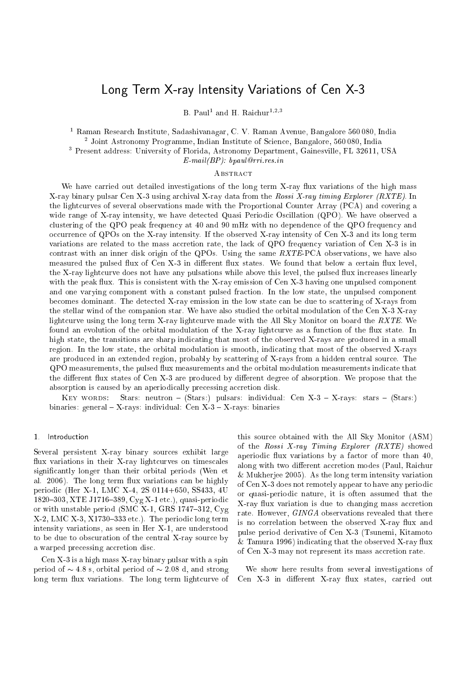# $\mathcal{L}$  and  $\mathcal{L}$  ray International International International International International International International International International International International International International International

b. Faul and n. Raichur <sup>. .</sup>

<sup>1</sup> Raman Resear
h Institute, Sadashivanagar, C. V. Raman Avenue, Bangalore 560 080, India <sup>2</sup> Joint Astronomy Programme, Indian Institute of S
ien
e, Bangalore, 560 080, India <sup>3</sup> Present address: University of Florida, Astronomy Department, Gainesville, FL 32611, USA

 $E-mail(BP): b paul@rri. res.in$ 

### **ABSTRACT**

We have carried out detailed investigations of the long term X-ray flux variations of the high mass X-ray binary pulsar Cen X-3 using archival X-ray data from the Rossi X-ray timing Explorer (RXTE). In the lightcurves of several observations made with the Proportional Counter Array (PCA) and covering a wide range of X-ray intensity, we have detected Quasi Periodic Oscillation (QPO). We have observed a clustering of the QPO peak frequency at 40 and 90 mHz with no dependence of the QPO frequency and occurrence of QPOs on the X-ray intensity. If the observed X-ray intensity of Cen X-3 and its long term variations are related to the mass accretion rate, the lack of QPO frequency variation of Cen X-3 is in contrast with an inner disk origin of the QPOs. Using the same  $RXTE$ -PCA observations, we have also measured the pulsed flux of Cen X-3 in different flux states. We found that below a certain flux level, the X-ray lightcurve does not have any pulsations while above this level, the pulsed flux increases linearly with the peak flux. This is consistent with the X-ray emission of Cen X-3 having one unpulsed component and one varying omponent with a onstant pulsed fra
tion. In the low state, the unpulsed omponent becomes dominant. The detected X-ray emission in the low state can be due to scattering of X-rays from the stellar wind of the companion star. We have also studied the orbital modulation of the Cen X-3 X-ray lightcurve using the long term X-ray lightcurve made with the All Sky Monitor on board the RXTE. We found an evolution of the orbital modulation of the X-ray lightcurve as a function of the flux state. In high state, the transitions are sharp indicating that most of the observed X-rays are produced in a small region. In the low state, the orbital modulation is smooth, indi
ating that most of the observed X-rays are produ
ed in an extended region, probably by s
attering of X-rays from a hidden entral sour
e. The QPO measurements, the pulsed flux measurements and the orbital modulation measurements indicate that the different flux states of Cen X-3 are produced by different degree of absorption. We propose that the absorption is caused by an aperiodically precessing accretion disk.

KEY WORDS: Stars: neutron - (Stars:) pulsars: individual: Cen X-3 - X-rays: stars - (Stars:) binaries: general  ${ - X}$ -rays: individual: Cen  ${X-3-X}$ -rays: binaries

#### 1 Introduction

Several persistent X-ray binary sour
es exhibit large flux variations in their X-ray lightcurves on timescales significantly longer than their orbital periods (Wen et al. 2006). The long term flux variations can be highly periodi (Her X-1, LMC X-4, 2S 0114+650, SS433, 4U 1820–303, XTE J1716–389, Cyg X-1 etc.), quasi-periodic or with unstable period (SMC X-1, GRS 1747-312,  $Cyg$ )  $X-2$ , LMC  $X-3$ ,  $X1730-333$  etc.). The periodic long term intensity variations, as seen in Her X-1, are understood to be due to obscuration of the central X-ray source by a warped precessing accretion disc.

Cen X-3 is a high mass X-ray binary pulsar with a spin period of  $\sim 4.8$  s, orbital period of  $\sim 2.08$  d, and strong long term flux variations. The long term lightcurve of this sour
e obtained with the All Sky Monitor (ASM) of the Rossi X-ray Timing Explorer  $(RXTE)$  showed aperiodic flux variations by a factor of more than 40, along with two different accretion modes (Paul, Raichur & Mukherjee 2005). As the long term intensity variation of Cen X-3 does not remotely appear to have any periodi or quasi-periodi nature, it is often assumed that the X-ray flux variation is due to changing mass accretion rate. However, GINGA observations revealed that there is no correlation between the observed X-ray flux and pulse period derivative of Cen X-3 (Tsunemi, Kitamoto  $&$  Tamura 1996) indicating that the observed X-ray flux of Cen X-3 may not represent its mass accretion rate.

We show here results from several investigations of Cen X-3 in different X-ray flux states, carried out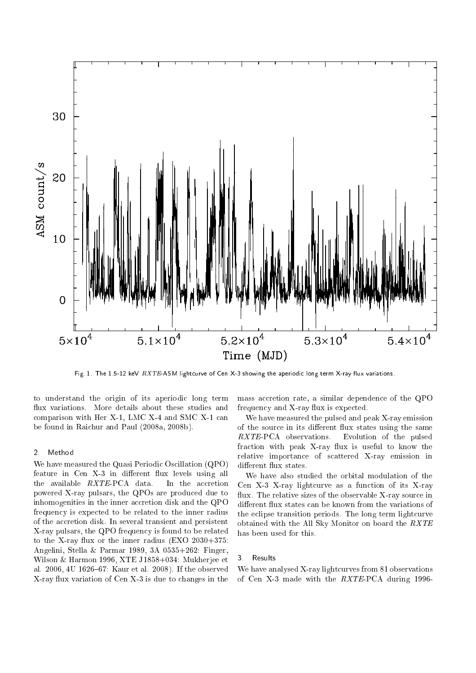

Fig. 1. The 1.5-12 keV RXTE-ASM lightcurve of Cen X-3 showing the aperiodic long term X-ray flux variations.

to understand the origin of its aperiodic long term flux variations. More details about these studies and comparison with Her X-1, LMC X-4 and SMC X-1 can be found in Rai
hur and Paul (2008a, 2008b).

#### 2. Method

We have measured the Quasi Periodic Oscillation (QPO) feature in Cen X-3 in different flux levels using all the available  $RXTE-PCA$  data. In the accretion powered X-ray pulsars, the QPOs are produ
ed due to inhomogenities in the inner accretion disk and the QPO frequency is expected to be related to the inner radius of the accretion disk. In several transient and persistent X-ray pulsars, the QPO frequency is found to be related to the X-ray flux or the inner radius  $(EXO 2030+375)$ : Angelini, Stella & Parmar 1989, 3A 0535+262: Finger, Wilson & Harmon 1996, XTE J1858+034: Mukherjee et al. 2006, 4U 1626–67: Kaur et al. 2008). If the observed X-ray ux variation of Cen X-3 is due to hanges in the mass accretion rate, a similar dependence of the QPO frequency and X-ray flux is expected.

We have measured the pulsed and peak X-ray emission of the source in its different flux states using the same RXTE-PCA observations. Evolution of the pulsed fraction with peak X-ray flux is useful to know the relative importan
e of s
attered X-ray emission in different flux states.

We have also studied the orbital modulation of the Cen X-3 X-ray lightcurve as a function of its X-ray flux. The relative sizes of the observable X-ray source in different flux states can be known from the variations of the e
lipse transition periods. The long term light
urve obtained with the All Sky Monitor on board the RXTE has been used for this.

#### 3. Results

We have analysed X-ray lightcurves from 81 observations of Cen X-3 made with the RXTE-PCA during 1996-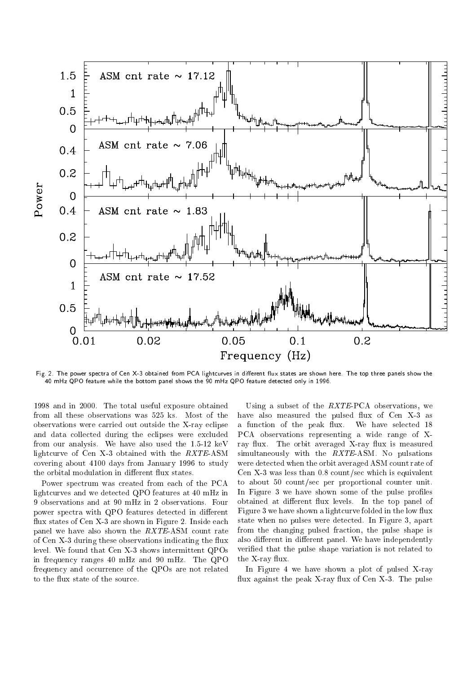

Fig. 2. The power spectra of Cen X-3 obtained from PCA lightcurves in different flux states are shown here. The top three panels show the 40 mHz QPO feature while the bottom panel shows the 90 mHz QPO feature dete
ted only in 1996.

1998 and in 2000. The total useful exposure obtained from all these observations was 525 ks. Most of the observations were arried out outside the X-ray e
lipse and data olle
ted during the e
lipses were ex
luded from our analysis. We have also used the 1.5-12 keV lightcurve of Cen X-3 obtained with the RXTE-ASM overing about 4100 days from January 1996 to study the orbital modulation in different flux states.

Power spectrum was created from each of the PCA light
urves and we dete
ted QPO features at 40 mHz in 9 observations and at 90 mHz in 2 observations. Four power spectra with QPO features detected in different flux states of Cen X-3 are shown in Figure 2. Inside each panel we have also shown the  $RXTE-ASM$  count rate of Cen X-3 during these observations indicating the flux level. We found that Cen X-3 shows intermittent QPOs in frequen
y ranges 40 mHz and 90 mHz. The QPO frequency and occurrence of the QPOs are not related to the flux state of the source.

Using a subset of the  $RXTE-PCA$  observations, we have also measured the pulsed flux of Cen X-3 as a function of the peak flux. We have selected 18 PCA observations representing a wide range of Xray flux. The orbit averaged X-ray flux is measured simultaneously with the RXTE-ASM. No pulsations were detected when the orbit averaged ASM count rate of Cen X-3 was less than 0.8 ount/se whi
h is equivalent to about 50 ount/se per proportional ounter unit. In Figure 3 we have shown some of the pulse profiles obtained at different flux levels. In the top panel of Figure 3 we have shown a lightcurve folded in the low flux state when no pulses were dete
ted. In Figure 3, apart from the hanging pulsed fra
tion, the pulse shape is also different in different panel. We have independently veried that the pulse shape variation is not related to the X-ray flux.

In Figure 4 we have shown a plot of pulsed X-ray flux against the peak X-ray flux of Cen X-3. The pulse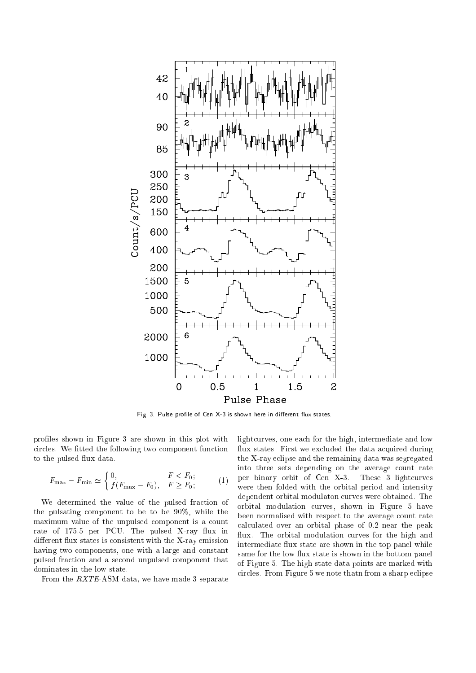

Fig. 3. Pulse profile of Cen X-3 is shown here in different flux states.

profiles shown in Figure 3 are shown in this plot with circles. We fitted the following two component function to the pulsed flux data.

$$
F_{\max} - F_{\min} \simeq \begin{cases} 0, & F < F_0; \\ f(F_{\max} - F_0), & F \ge F_0; \end{cases} \tag{1}
$$

We determined the value of the pulsed fraction of the pulsating omponent to be to be 90%, while the maximum value of the unpulsed component is a count rate of 175.5 per PCU. The pulsed X-ray flux in different flux states is consistent with the X-ray emission having two omponents, one with a large and onstant pulsed fra
tion and a se
ond unpulsed omponent that dominates in the low state.

From the RXTE-ASM data, we have made 3 separate

lightcurves, one each for the high, intermediate and low flux states. First we excluded the data acquired during the X-ray e
lipse and the remaining data was segregated into three sets depending on the average ount rate per binary orbit of Cen X-3. These 3 light
urves were then folded with the orbital period and intensity dependent orbital modulaton curves were obtained. The orbital modulation urves, shown in Figure 5 have been normalised with respect to the average count rate al
ulated over an orbital phase of 0.2 near the peak flux. The orbital modulation curves for the high and intermediate flux state are shown in the top panel while same for the low flux state is shown in the bottom panel of Figure 5. The high state data points are marked with circles. From Figure 5 we note thatn from a sharp eclipse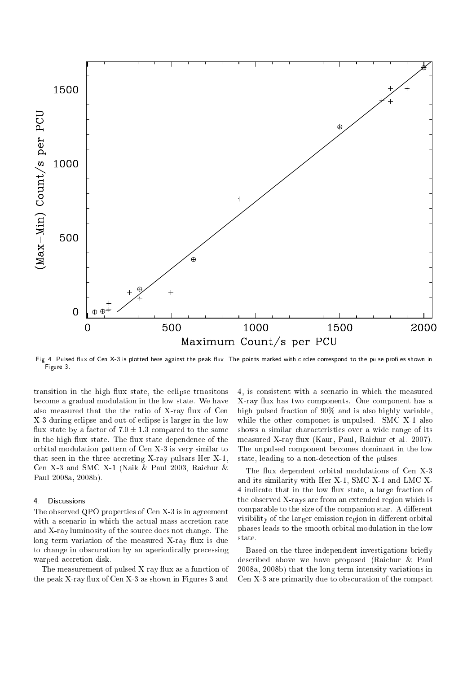

Fig. 4. Pulsed flux of Cen X-3 is plotted here against the peak flux. The points marked with circles correspond to the pulse profiles shown in Figure 3.

transition in the high flux state, the eclipse trnasitons be
ome a gradual modulation in the low state. We have also measured that the the ratio of X-ray flux of Cen X-3 during e
lipse and out-of-e
lipse is larger in the low flux state by a factor of  $7.0 \pm 1.3$  compared to the same in the high flux state. The flux state dependence of the orbital modulation pattern of Cen X-3 is very similar to that seen in the three accreting  $X$ -ray pulsars Her  $X-1$ , Cen X-3 and SMC X-1 (Naik & Paul 2003, Rai
hur & Paul 2008a, 2008b).

## 4. Dis
ussions

The observed QPO properties of Cen X-3 is in agreement with a scenario in which the actual mass accretion rate and X-ray luminosity of the sour
e does not hange. The  $\log$  term variation of the measured X-ray flux is due to hange in obs
uration by an aperiodi
ally pre
essing warped accretion disk.

The measurement of pulsed X-ray flux as a function of the peak X-ray flux of Cen X-3 as shown in Figures 3 and

4, is onsistent with a s
enario in whi
h the measured X-ray flux has two components. One component has a high pulsed fraction of 90% and is also highly variable, while the other componet is unpulsed. SMC X-1 also shows a similar characteristics over a wide range of its measured X-ray flux (Kaur, Paul, Raichur et al. 2007). The unpulsed omponent be
omes dominant in the low state, leading to a non-dete
tion of the pulses.

The flux dependent orbital modulations of Cen X-3 and its similarity with Her X-1, SMC X-1 and LMC X-4 indicate that in the low flux state, a large fraction of the observed X-rays are from an extended region whi
h is comparable to the size of the companion star. A different visibility of the larger emission region in different orbital phases leads to the smooth orbital modulation in the low state.

Based on the three independent investigations briefly des
ribed above we have proposed (Rai
hur & Paul 2008a, 2008b) that the long term intensity variations in Cen X-3 are primarily due to obscuration of the compact